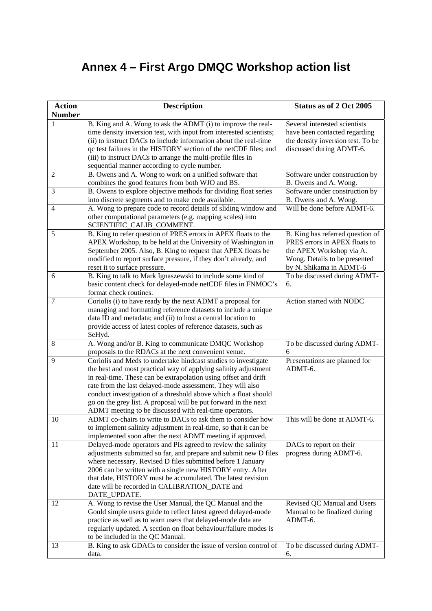## **Annex 4 – First Argo DMQC Workshop action list**

| <b>Action</b>  | <b>Description</b>                                                                                                     | Status as of 2 Oct 2005           |
|----------------|------------------------------------------------------------------------------------------------------------------------|-----------------------------------|
| <b>Number</b>  |                                                                                                                        |                                   |
| 1              | B. King and A. Wong to ask the ADMT (i) to improve the real-                                                           | Several interested scientists     |
|                | time density inversion test, with input from interested scientists;                                                    | have been contacted regarding     |
|                | (ii) to instruct DACs to include information about the real-time                                                       | the density inversion test. To be |
|                | qc test failures in the HISTORY section of the netCDF files; and                                                       | discussed during ADMT-6.          |
|                | (iii) to instruct DACs to arrange the multi-profile files in                                                           |                                   |
|                | sequential manner according to cycle number.                                                                           |                                   |
| $\overline{2}$ | B. Owens and A. Wong to work on a unified software that                                                                | Software under construction by    |
|                | combines the good features from both WJO and BS.                                                                       | B. Owens and A. Wong.             |
| 3              | B. Owens to explore objective methods for dividing float series                                                        | Software under construction by    |
|                | into discrete segments and to make code available.                                                                     | B. Owens and A. Wong.             |
| $\overline{4}$ | A. Wong to prepare code to record details of sliding window and                                                        | Will be done before ADMT-6.       |
|                | other computational parameters (e.g. mapping scales) into                                                              |                                   |
|                | SCIENTIFIC_CALIB_COMMENT.                                                                                              |                                   |
| 5              | B. King to refer question of PRES errors in APEX floats to the                                                         | B. King has referred question of  |
|                | APEX Workshop, to be held at the University of Washington in                                                           | PRES errors in APEX floats to     |
|                | September 2005. Also, B. King to request that APEX floats be                                                           | the APEX Workshop via A.          |
|                | modified to report surface pressure, if they don't already, and                                                        | Wong. Details to be presented     |
|                | reset it to surface pressure.                                                                                          | by N. Shikama in ADMT-6           |
| 6              | B. King to talk to Mark Ignaszewski to include some kind of                                                            | To be discussed during ADMT-      |
|                | basic content check for delayed-mode netCDF files in FNMOC's                                                           | 6.                                |
|                | format check routines.                                                                                                 |                                   |
| 7              | Coriolis (i) to have ready by the next ADMT a proposal for                                                             | Action started with NODC          |
|                | managing and formatting reference datasets to include a unique                                                         |                                   |
|                | data ID and metadata; and (ii) to host a central location to                                                           |                                   |
|                | provide access of latest copies of reference datasets, such as                                                         |                                   |
|                | SeHyd.                                                                                                                 |                                   |
| 8              | A. Wong and/or B. King to communicate DMQC Workshop                                                                    | To be discussed during ADMT-<br>6 |
| 9              | proposals to the RDACs at the next convenient venue.<br>Coriolis and Meds to undertake hindcast studies to investigate | Presentations are planned for     |
|                | the best and most practical way of applying salinity adjustment                                                        | ADMT-6.                           |
|                | in real-time. These can be extrapolation using offset and drift                                                        |                                   |
|                | rate from the last delayed-mode assessment. They will also                                                             |                                   |
|                | conduct investigation of a threshold above which a float should                                                        |                                   |
|                | go on the grey list. A proposal will be put forward in the next                                                        |                                   |
|                | ADMT meeting to be discussed with real-time operators.                                                                 |                                   |
| 10             | ADMT co-chairs to write to DACs to ask them to consider how                                                            | This will be done at ADMT-6.      |
|                | to implement salinity adjustment in real-time, so that it can be                                                       |                                   |
|                | implemented soon after the next ADMT meeting if approved.                                                              |                                   |
| 11             | Delayed-mode operators and PIs agreed to review the salinity                                                           | DACs to report on their           |
|                | adjustments submitted so far, and prepare and submit new D files                                                       | progress during ADMT-6.           |
|                | where necessary. Revised D files submitted before 1 January                                                            |                                   |
|                | 2006 can be written with a single new HISTORY entry. After                                                             |                                   |
|                | that date, HISTORY must be accumulated. The latest revision                                                            |                                   |
|                | date will be recorded in CALIBRATION_DATE and                                                                          |                                   |
|                | DATE_UPDATE.                                                                                                           |                                   |
| 12             | A. Wong to revise the User Manual, the QC Manual and the                                                               | Revised QC Manual and Users       |
|                | Gould simple users guide to reflect latest agreed delayed-mode                                                         | Manual to be finalized during     |
|                | practice as well as to warn users that delayed-mode data are                                                           | ADMT-6.                           |
|                | regularly updated. A section on float behaviour/failure modes is                                                       |                                   |
|                | to be included in the QC Manual.                                                                                       |                                   |
| 13             | B. King to ask GDACs to consider the issue of version control of                                                       | To be discussed during ADMT-      |
|                | data.                                                                                                                  | 6.                                |